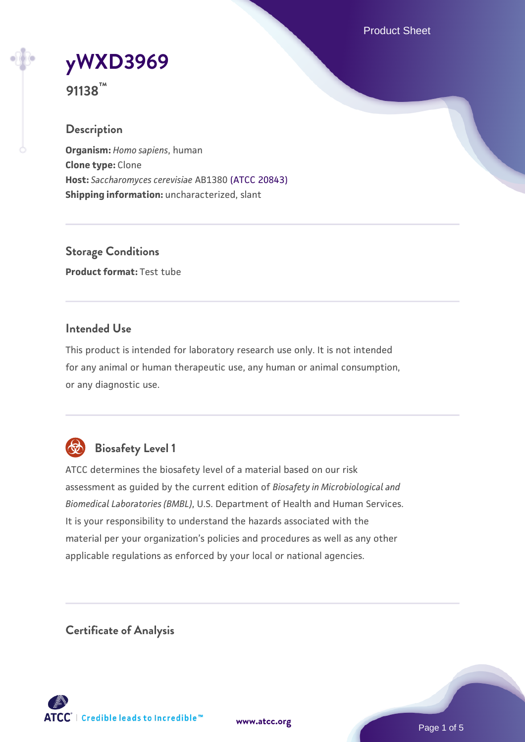Product Sheet

# **[yWXD3969](https://www.atcc.org/products/91138)**

**91138™**

## **Description**

**Organism:** *Homo sapiens*, human **Clone type:** Clone **Host:** *Saccharomyces cerevisiae* AB1380 [\(ATCC 20843\)](https://www.atcc.org/products/20843) **Shipping information:** uncharacterized, slant

**Storage Conditions Product format:** Test tube

## **Intended Use**

This product is intended for laboratory research use only. It is not intended for any animal or human therapeutic use, any human or animal consumption, or any diagnostic use.



# **Biosafety Level 1**

ATCC determines the biosafety level of a material based on our risk assessment as guided by the current edition of *Biosafety in Microbiological and Biomedical Laboratories (BMBL)*, U.S. Department of Health and Human Services. It is your responsibility to understand the hazards associated with the material per your organization's policies and procedures as well as any other applicable regulations as enforced by your local or national agencies.

**Certificate of Analysis**

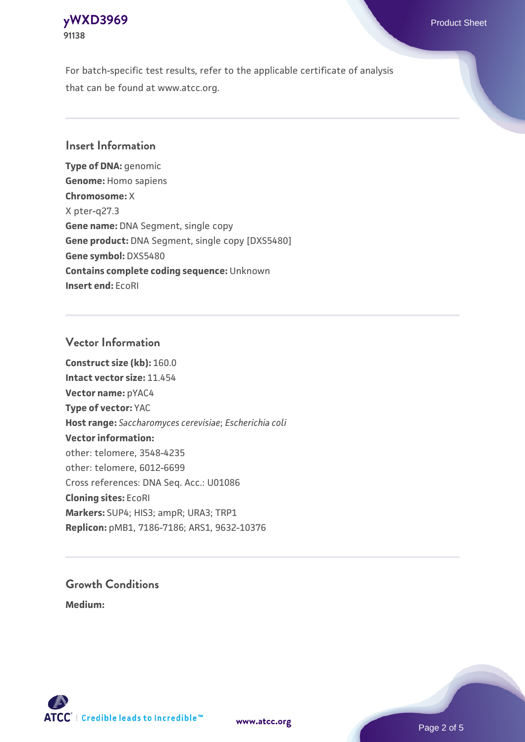## **[yWXD3969](https://www.atcc.org/products/91138)** Product Sheet **91138**

For batch-specific test results, refer to the applicable certificate of analysis that can be found at www.atcc.org.

## **Insert Information**

**Type of DNA:** genomic **Genome:** Homo sapiens **Chromosome:** X X pter-q27.3 **Gene name:** DNA Segment, single copy **Gene product:** DNA Segment, single copy [DXS5480] **Gene symbol:** DXS5480 **Contains complete coding sequence:** Unknown **Insert end:** EcoRI

## **Vector Information**

**Construct size (kb):** 160.0 **Intact vector size:** 11.454 **Vector name:** pYAC4 **Type of vector:** YAC **Host range:** *Saccharomyces cerevisiae*; *Escherichia coli* **Vector information:** other: telomere, 3548-4235 other: telomere, 6012-6699 Cross references: DNA Seq. Acc.: U01086 **Cloning sites:** EcoRI **Markers:** SUP4; HIS3; ampR; URA3; TRP1 **Replicon:** pMB1, 7186-7186; ARS1, 9632-10376

# **Growth Conditions**

**Medium:** 



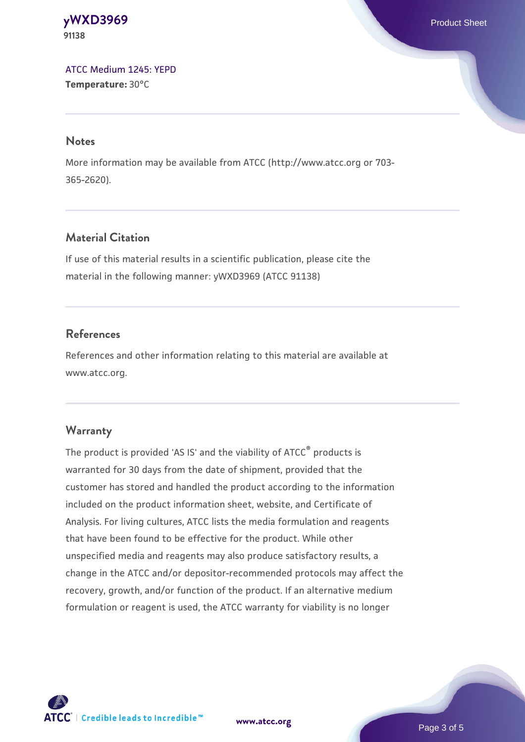**[yWXD3969](https://www.atcc.org/products/91138)** Product Sheet **91138**

[ATCC Medium 1245: YEPD](https://www.atcc.org/-/media/product-assets/documents/microbial-media-formulations/1/2/4/5/atcc-medium-1245.pdf?rev=705ca55d1b6f490a808a965d5c072196) **Temperature:** 30°C

#### **Notes**

More information may be available from ATCC (http://www.atcc.org or 703- 365-2620).

## **Material Citation**

If use of this material results in a scientific publication, please cite the material in the following manner: yWXD3969 (ATCC 91138)

## **References**

References and other information relating to this material are available at www.atcc.org.

#### **Warranty**

The product is provided 'AS IS' and the viability of ATCC® products is warranted for 30 days from the date of shipment, provided that the customer has stored and handled the product according to the information included on the product information sheet, website, and Certificate of Analysis. For living cultures, ATCC lists the media formulation and reagents that have been found to be effective for the product. While other unspecified media and reagents may also produce satisfactory results, a change in the ATCC and/or depositor-recommended protocols may affect the recovery, growth, and/or function of the product. If an alternative medium formulation or reagent is used, the ATCC warranty for viability is no longer

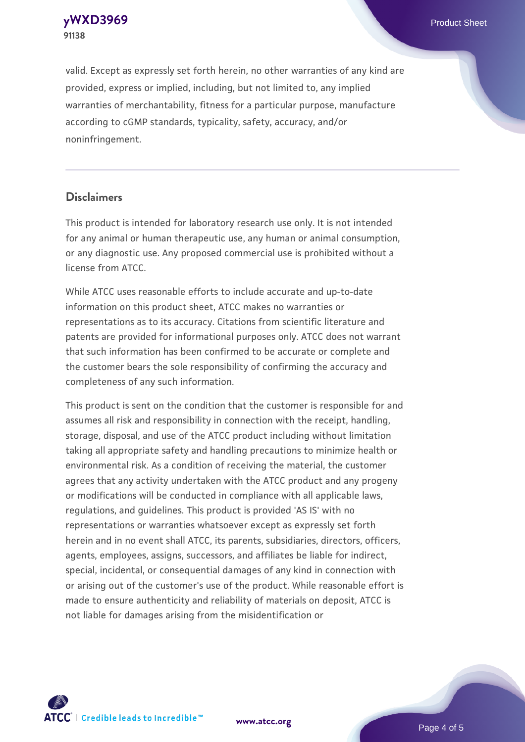**[yWXD3969](https://www.atcc.org/products/91138)** Product Sheet **91138**

valid. Except as expressly set forth herein, no other warranties of any kind are provided, express or implied, including, but not limited to, any implied warranties of merchantability, fitness for a particular purpose, manufacture according to cGMP standards, typicality, safety, accuracy, and/or noninfringement.

#### **Disclaimers**

This product is intended for laboratory research use only. It is not intended for any animal or human therapeutic use, any human or animal consumption, or any diagnostic use. Any proposed commercial use is prohibited without a license from ATCC.

While ATCC uses reasonable efforts to include accurate and up-to-date information on this product sheet, ATCC makes no warranties or representations as to its accuracy. Citations from scientific literature and patents are provided for informational purposes only. ATCC does not warrant that such information has been confirmed to be accurate or complete and the customer bears the sole responsibility of confirming the accuracy and completeness of any such information.

This product is sent on the condition that the customer is responsible for and assumes all risk and responsibility in connection with the receipt, handling, storage, disposal, and use of the ATCC product including without limitation taking all appropriate safety and handling precautions to minimize health or environmental risk. As a condition of receiving the material, the customer agrees that any activity undertaken with the ATCC product and any progeny or modifications will be conducted in compliance with all applicable laws, regulations, and guidelines. This product is provided 'AS IS' with no representations or warranties whatsoever except as expressly set forth herein and in no event shall ATCC, its parents, subsidiaries, directors, officers, agents, employees, assigns, successors, and affiliates be liable for indirect, special, incidental, or consequential damages of any kind in connection with or arising out of the customer's use of the product. While reasonable effort is made to ensure authenticity and reliability of materials on deposit, ATCC is not liable for damages arising from the misidentification or



**[www.atcc.org](http://www.atcc.org)**

Page 4 of 5